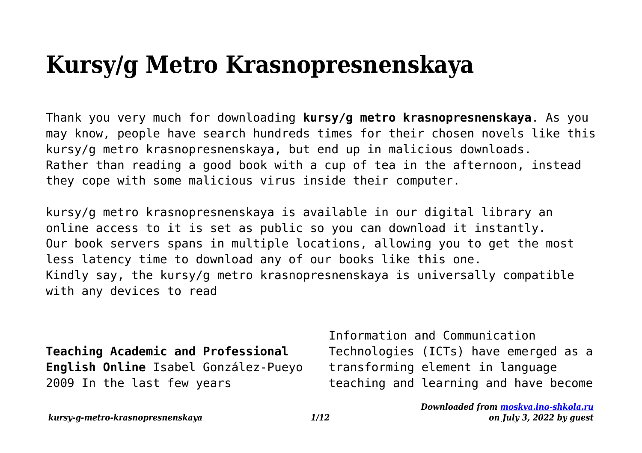## **Kursy/g Metro Krasnopresnenskaya**

Thank you very much for downloading **kursy/g metro krasnopresnenskaya**. As you may know, people have search hundreds times for their chosen novels like this kursy/g metro krasnopresnenskaya, but end up in malicious downloads. Rather than reading a good book with a cup of tea in the afternoon, instead they cope with some malicious virus inside their computer.

kursy/g metro krasnopresnenskaya is available in our digital library an online access to it is set as public so you can download it instantly. Our book servers spans in multiple locations, allowing you to get the most less latency time to download any of our books like this one. Kindly say, the kursy/g metro krasnopresnenskaya is universally compatible with any devices to read

**Teaching Academic and Professional English Online** Isabel González-Pueyo 2009 In the last few years

Information and Communication Technologies (ICTs) have emerged as a transforming element in language teaching and learning and have become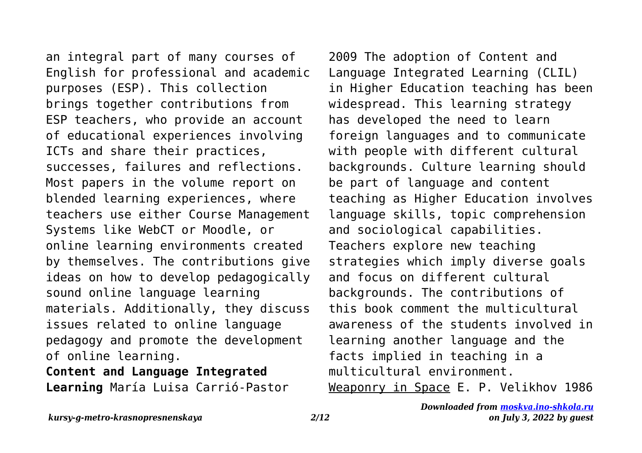an integral part of many courses of English for professional and academic purposes (ESP). This collection brings together contributions from ESP teachers, who provide an account of educational experiences involving ICTs and share their practices, successes, failures and reflections. Most papers in the volume report on blended learning experiences, where teachers use either Course Management Systems like WebCT or Moodle, or online learning environments created by themselves. The contributions give ideas on how to develop pedagogically sound online language learning materials. Additionally, they discuss issues related to online language pedagogy and promote the development of online learning.

**Content and Language Integrated Learning** María Luisa Carrió-Pastor 2009 The adoption of Content and Language Integrated Learning (CLIL) in Higher Education teaching has been widespread. This learning strategy has developed the need to learn foreign languages and to communicate with people with different cultural backgrounds. Culture learning should be part of language and content teaching as Higher Education involves language skills, topic comprehension and sociological capabilities. Teachers explore new teaching strategies which imply diverse goals and focus on different cultural backgrounds. The contributions of this book comment the multicultural awareness of the students involved in learning another language and the facts implied in teaching in a multicultural environment. Weaponry in Space E. P. Velikhov 1986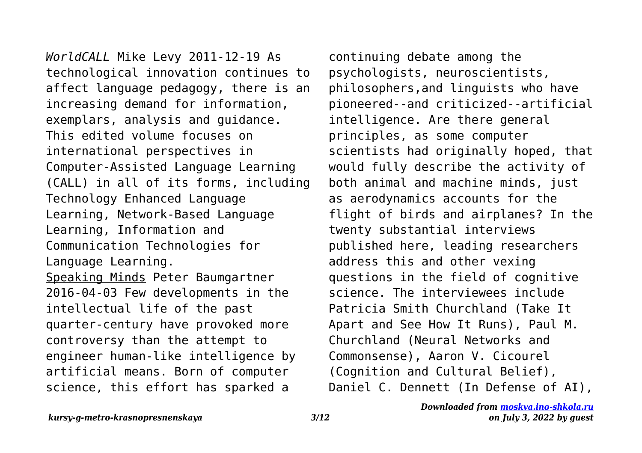*WorldCALL* Mike Levy 2011-12-19 As technological innovation continues to affect language pedagogy, there is an increasing demand for information, exemplars, analysis and guidance. This edited volume focuses on international perspectives in Computer-Assisted Language Learning (CALL) in all of its forms, including Technology Enhanced Language Learning, Network-Based Language Learning, Information and Communication Technologies for Language Learning. Speaking Minds Peter Baumgartner 2016-04-03 Few developments in the intellectual life of the past quarter-century have provoked more controversy than the attempt to engineer human-like intelligence by artificial means. Born of computer science, this effort has sparked a

continuing debate among the psychologists, neuroscientists, philosophers,and linguists who have pioneered--and criticized--artificial intelligence. Are there general principles, as some computer scientists had originally hoped, that would fully describe the activity of both animal and machine minds, just as aerodynamics accounts for the flight of birds and airplanes? In the twenty substantial interviews published here, leading researchers address this and other vexing questions in the field of cognitive science. The interviewees include Patricia Smith Churchland (Take It Apart and See How It Runs), Paul M. Churchland (Neural Networks and Commonsense), Aaron V. Cicourel (Cognition and Cultural Belief), Daniel C. Dennett (In Defense of AI),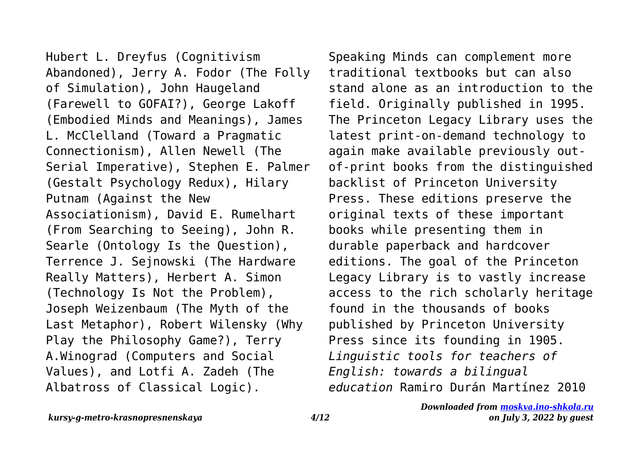Hubert L. Dreyfus (Cognitivism Abandoned), Jerry A. Fodor (The Folly of Simulation), John Haugeland (Farewell to GOFAI?), George Lakoff (Embodied Minds and Meanings), James L. McClelland (Toward a Pragmatic Connectionism), Allen Newell (The Serial Imperative), Stephen E. Palmer (Gestalt Psychology Redux), Hilary Putnam (Against the New Associationism), David E. Rumelhart (From Searching to Seeing), John R. Searle (Ontology Is the Question), Terrence J. Sejnowski (The Hardware Really Matters), Herbert A. Simon (Technology Is Not the Problem), Joseph Weizenbaum (The Myth of the Last Metaphor), Robert Wilensky (Why Play the Philosophy Game?), Terry A.Winograd (Computers and Social Values), and Lotfi A. Zadeh (The Albatross of Classical Logic).

Speaking Minds can complement more traditional textbooks but can also stand alone as an introduction to the field. Originally published in 1995. The Princeton Legacy Library uses the latest print-on-demand technology to again make available previously outof-print books from the distinguished backlist of Princeton University Press. These editions preserve the original texts of these important books while presenting them in durable paperback and hardcover editions. The goal of the Princeton Legacy Library is to vastly increase access to the rich scholarly heritage found in the thousands of books published by Princeton University Press since its founding in 1905. *Linguistic tools for teachers of English: towards a bilingual education* Ramiro Durán Martínez 2010

*on July 3, 2022 by guest*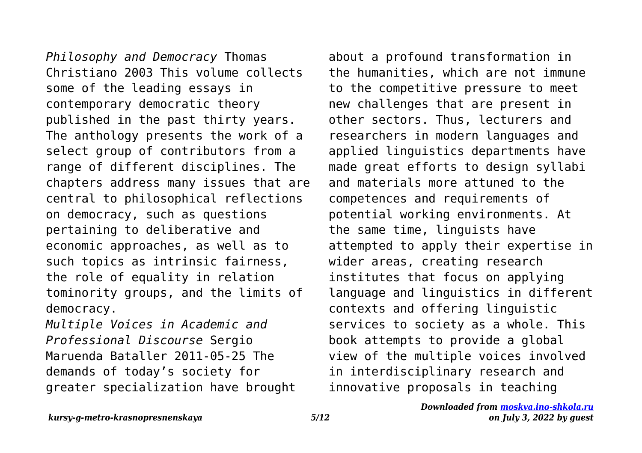*Philosophy and Democracy* Thomas Christiano 2003 This volume collects some of the leading essays in contemporary democratic theory published in the past thirty years. The anthology presents the work of a select group of contributors from a range of different disciplines. The chapters address many issues that are central to philosophical reflections on democracy, such as questions pertaining to deliberative and economic approaches, as well as to such topics as intrinsic fairness, the role of equality in relation tominority groups, and the limits of democracy.

*Multiple Voices in Academic and Professional Discourse* Sergio Maruenda Bataller 2011-05-25 The demands of today's society for greater specialization have brought about a profound transformation in the humanities, which are not immune to the competitive pressure to meet new challenges that are present in other sectors. Thus, lecturers and researchers in modern languages and applied linguistics departments have made great efforts to design syllabi and materials more attuned to the competences and requirements of potential working environments. At the same time, linguists have attempted to apply their expertise in wider areas, creating research institutes that focus on applying language and linguistics in different contexts and offering linguistic services to society as a whole. This book attempts to provide a global view of the multiple voices involved in interdisciplinary research and innovative proposals in teaching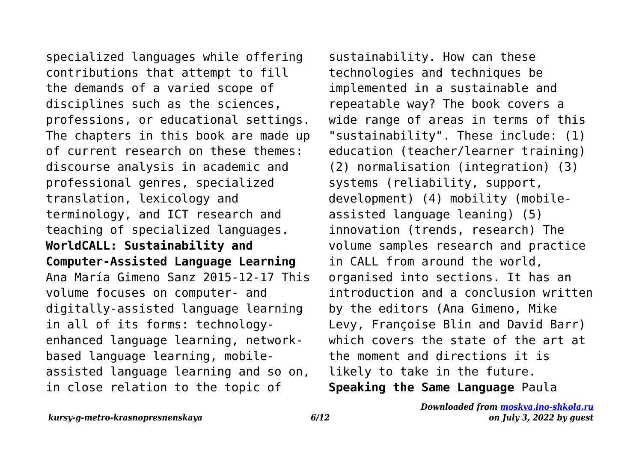specialized languages while offering contributions that attempt to fill the demands of a varied scope of disciplines such as the sciences, professions, or educational settings. The chapters in this book are made up of current research on these themes: discourse analysis in academic and professional genres, specialized translation, lexicology and terminology, and ICT research and teaching of specialized languages. **WorldCALL: Sustainability and Computer-Assisted Language Learning** Ana María Gimeno Sanz 2015-12-17 This volume focuses on computer- and digitally-assisted language learning in all of its forms: technologyenhanced language learning, networkbased language learning, mobileassisted language learning and so on, in close relation to the topic of

sustainability. How can these technologies and techniques be implemented in a sustainable and repeatable way? The book covers a wide range of areas in terms of this "sustainability". These include: (1) education (teacher/learner training) (2) normalisation (integration) (3) systems (reliability, support, development) (4) mobility (mobileassisted language leaning) (5) innovation (trends, research) The volume samples research and practice in CALL from around the world, organised into sections. It has an introduction and a conclusion written by the editors (Ana Gimeno, Mike Levy, Françoise Blin and David Barr) which covers the state of the art at the moment and directions it is likely to take in the future. **Speaking the Same Language** Paula

*kursy-g-metro-krasnopresnenskaya 6/12*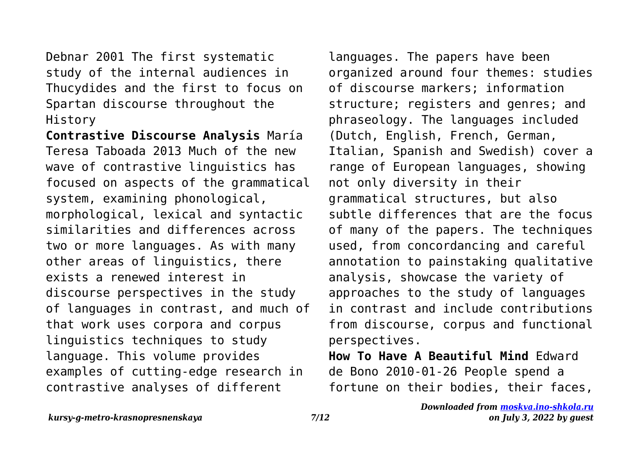Debnar 2001 The first systematic study of the internal audiences in Thucydides and the first to focus on Spartan discourse throughout the History

**Contrastive Discourse Analysis** María Teresa Taboada 2013 Much of the new wave of contrastive linguistics has focused on aspects of the grammatical system, examining phonological, morphological, lexical and syntactic similarities and differences across two or more languages. As with many other areas of linguistics, there exists a renewed interest in discourse perspectives in the study of languages in contrast, and much of that work uses corpora and corpus linguistics techniques to study language. This volume provides examples of cutting-edge research in contrastive analyses of different

languages. The papers have been organized around four themes: studies of discourse markers; information structure; registers and genres; and phraseology. The languages included (Dutch, English, French, German, Italian, Spanish and Swedish) cover a range of European languages, showing not only diversity in their grammatical structures, but also subtle differences that are the focus of many of the papers. The techniques used, from concordancing and careful annotation to painstaking qualitative analysis, showcase the variety of approaches to the study of languages in contrast and include contributions from discourse, corpus and functional perspectives.

**How To Have A Beautiful Mind** Edward de Bono 2010-01-26 People spend a fortune on their bodies, their faces,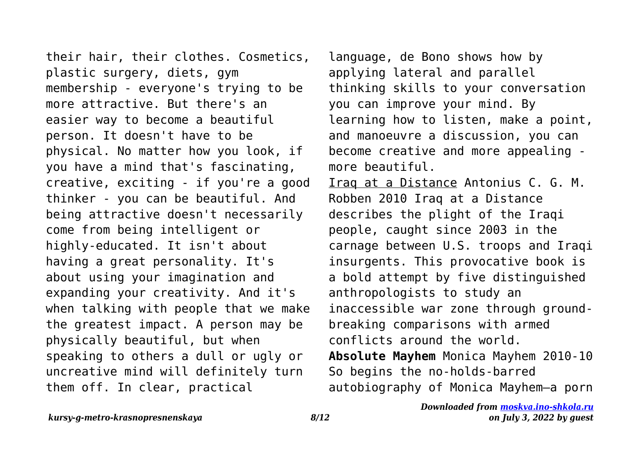their hair, their clothes. Cosmetics, plastic surgery, diets, gym membership - everyone's trying to be more attractive. But there's an easier way to become a beautiful person. It doesn't have to be physical. No matter how you look, if you have a mind that's fascinating, creative, exciting - if you're a good thinker - you can be beautiful. And being attractive doesn't necessarily come from being intelligent or highly-educated. It isn't about having a great personality. It's about using your imagination and expanding your creativity. And it's when talking with people that we make the greatest impact. A person may be physically beautiful, but when speaking to others a dull or ugly or uncreative mind will definitely turn them off. In clear, practical

language, de Bono shows how by applying lateral and parallel thinking skills to your conversation you can improve your mind. By learning how to listen, make a point, and manoeuvre a discussion, you can become creative and more appealing more beautiful. Iraq at a Distance Antonius C. G. M. Robben 2010 Iraq at a Distance describes the plight of the Iraqi people, caught since 2003 in the carnage between U.S. troops and Iraqi insurgents. This provocative book is a bold attempt by five distinguished anthropologists to study an inaccessible war zone through groundbreaking comparisons with armed conflicts around the world. **Absolute Mayhem** Monica Mayhem 2010-10 So begins the no-holds-barred autobiography of Monica Mayhem—a porn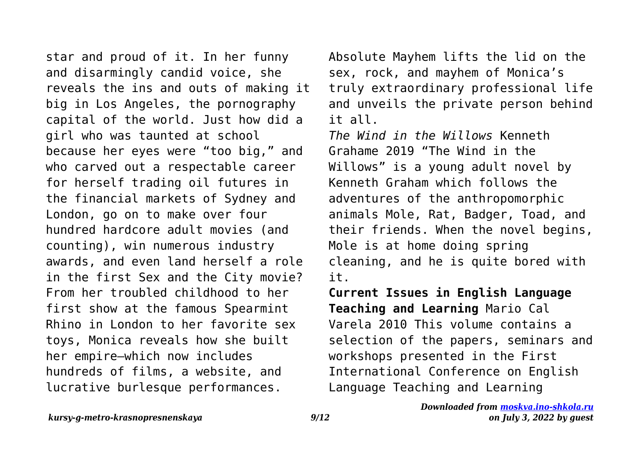star and proud of it. In her funny and disarmingly candid voice, she reveals the ins and outs of making it big in Los Angeles, the pornography capital of the world. Just how did a girl who was taunted at school because her eyes were "too big," and who carved out a respectable career for herself trading oil futures in the financial markets of Sydney and London, go on to make over four hundred hardcore adult movies (and counting), win numerous industry awards, and even land herself a role in the first Sex and the City movie? From her troubled childhood to her first show at the famous Spearmint Rhino in London to her favorite sex toys, Monica reveals how she built her empire—which now includes hundreds of films, a website, and lucrative burlesque performances.

Absolute Mayhem lifts the lid on the sex, rock, and mayhem of Monica's truly extraordinary professional life and unveils the private person behind it all.

*The Wind in the Willows* Kenneth Grahame 2019 "The Wind in the Willows" is a young adult novel by Kenneth Graham which follows the adventures of the anthropomorphic animals Mole, Rat, Badger, Toad, and their friends. When the novel begins, Mole is at home doing spring cleaning, and he is quite bored with it.

**Current Issues in English Language Teaching and Learning** Mario Cal Varela 2010 This volume contains a selection of the papers, seminars and workshops presented in the First International Conference on English Language Teaching and Learning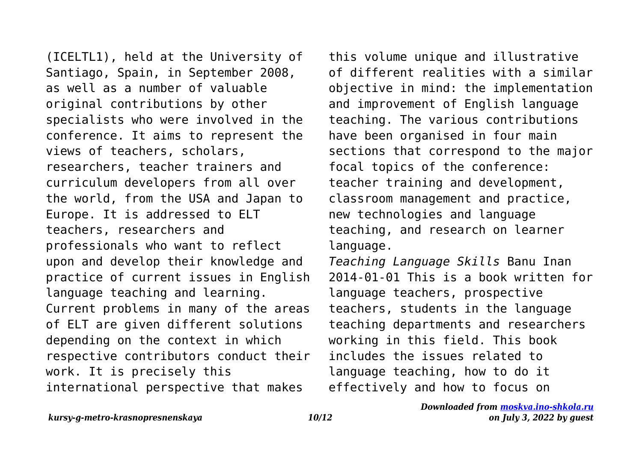(ICELTL1), held at the University of Santiago, Spain, in September 2008, as well as a number of valuable original contributions by other specialists who were involved in the conference. It aims to represent the views of teachers, scholars, researchers, teacher trainers and curriculum developers from all over the world, from the USA and Japan to Europe. It is addressed to ELT teachers, researchers and professionals who want to reflect upon and develop their knowledge and practice of current issues in English language teaching and learning. Current problems in many of the areas of ELT are given different solutions depending on the context in which respective contributors conduct their work. It is precisely this international perspective that makes

this volume unique and illustrative of different realities with a similar objective in mind: the implementation and improvement of English language teaching. The various contributions have been organised in four main sections that correspond to the major focal topics of the conference: teacher training and development, classroom management and practice, new technologies and language teaching, and research on learner language.

*Teaching Language Skills* Banu Inan 2014-01-01 This is a book written for language teachers, prospective teachers, students in the language teaching departments and researchers working in this field. This book includes the issues related to language teaching, how to do it effectively and how to focus on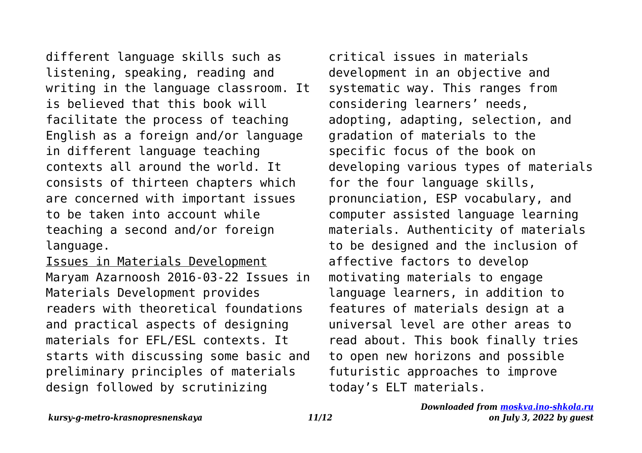different language skills such as listening, speaking, reading and writing in the language classroom. It is believed that this book will facilitate the process of teaching English as a foreign and/or language in different language teaching contexts all around the world. It consists of thirteen chapters which are concerned with important issues to be taken into account while teaching a second and/or foreign language.

Issues in Materials Development Maryam Azarnoosh 2016-03-22 Issues in Materials Development provides readers with theoretical foundations and practical aspects of designing materials for EFL/ESL contexts. It starts with discussing some basic and preliminary principles of materials design followed by scrutinizing

critical issues in materials development in an objective and systematic way. This ranges from considering learners' needs, adopting, adapting, selection, and gradation of materials to the specific focus of the book on developing various types of materials for the four language skills, pronunciation, ESP vocabulary, and computer assisted language learning materials. Authenticity of materials to be designed and the inclusion of affective factors to develop motivating materials to engage language learners, in addition to features of materials design at a universal level are other areas to read about. This book finally tries to open new horizons and possible futuristic approaches to improve today's ELT materials.